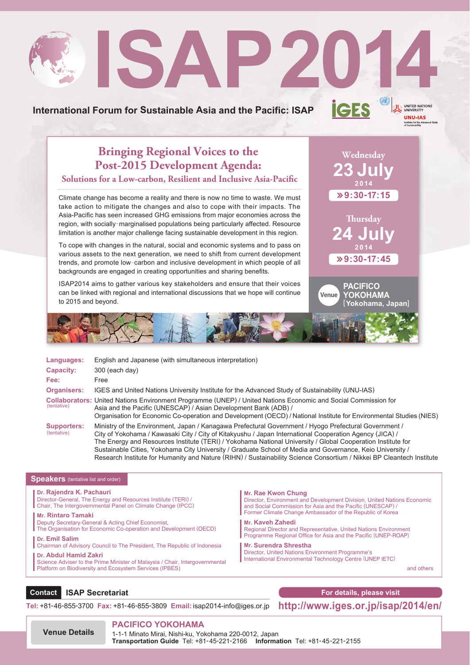# **İGES** UNITED NATIONS **International Forum for Sustainable Asia and the Pacific: ISAP UNU-IAS**

## **Bringing Regional Voices to the Post-2015 Development Agenda:**

#### **Solutions for a Low-carbon, Resilient and Inclusive Asia-Pacific**

Climate change has become a reality and there is now no time to waste. We must take action to mitigate the changes and also to cope with their impacts. The Asia-Pacific has seen increased GHG emissions from major economies across the region, with socially‐marginalised populations being particularly affected. Resource limitation is another major challenge facing sustainable development in this region.

To cope with changes in the natural, social and economic systems and to pass on various assets to the next generation, we need to shift from current development trends, and promote low‐carbon and inclusive development in which people of all backgrounds are engaged in creating opportunities and sharing benefits.

ISAP2014 aims to gather various key stakeholders and ensure that their voices can be linked with regional and international discussions that we hope will continue to 2015 and beyond.



**Wednesday**

Institute for the A

**PACIFICO YOKOHAMA** [**Yokohama, Japan**]

**Venue**



| Languages:                        | English and Japanese (with simultaneous interpretation)                                                                                                                                                                                                                                                                                                                                                                                                                                                                                                               |
|-----------------------------------|-----------------------------------------------------------------------------------------------------------------------------------------------------------------------------------------------------------------------------------------------------------------------------------------------------------------------------------------------------------------------------------------------------------------------------------------------------------------------------------------------------------------------------------------------------------------------|
| <b>Capacity:</b>                  | 300 (each day)                                                                                                                                                                                                                                                                                                                                                                                                                                                                                                                                                        |
| Fee:                              | Free                                                                                                                                                                                                                                                                                                                                                                                                                                                                                                                                                                  |
| <b>Organisers:</b>                | IGES and United Nations University Institute for the Advanced Study of Sustainability (UNU-IAS)                                                                                                                                                                                                                                                                                                                                                                                                                                                                       |
| (tentative)                       | Collaborators: United Nations Environment Programme (UNEP) / United Nations Economic and Social Commission for<br>Asia and the Pacific (UNESCAP) / Asian Development Bank (ADB) /<br>Organisation for Economic Co-operation and Development (OECD) / National Institute for Environmental Studies (NIES)                                                                                                                                                                                                                                                              |
| <b>Supporters:</b><br>(tentative) | Ministry of the Environment, Japan / Kanagawa Prefectural Government / Hyogo Prefectural Government /<br>City of Yokohama / Kawasaki City / City of Kitakyushu / Japan International Cooperation Agency (JICA) /<br>The Energy and Resources Institute (TERI) / Yokohama National University / Global Cooperation Institute for<br>Sustainable Cities, Yokohama City University / Graduate School of Media and Governance, Keio University /<br>Research Institute for Humanity and Nature (RIHN) / Sustainability Science Consortium / Nikkei BP Cleantech Institute |

#### **Speakers** (tentative list and order)

### **Dr. Rajendra K. Pachauri**

Director-General, The Energy and Resources Institute (TERI) / Chair, The Intergovernmental Panel on Climate Change (IPCC)

#### **Mr. Rintaro Tamaki**

Deputy Secretary-General & Acting Chief Economist, The Organisation for Economic Co-operation and Development (OECD)

**Dr. Emil Salim**

Chairman of Advisory Council to The President, The Republic of Indonesia

#### **Dr. Abdul Hamid Zakri**

Science Adviser to the Prime Minister of Malaysia / Chair, Intergovernmental Platform on Biodiversity and Ecosystem Services (IPBES)

#### **Mr. Rae Kwon Chung**

Director, Environment and Development Division, United Nations Economic and Social Commission for Asia and the Pacific (UNESCAP) / Former Climate Change Ambassador of the Republic of Korea

**Mr. Kaveh Zahedi** Regional Director and Representative, United Nations Environment Programme Regional Office for Asia and the Pacific (UNEP-ROAP)

**Mr. Surendra Shrestha** Director, United Nations Environment Programme's International Environmental Technology Centre (UNEP IETC)

and others

### **ISAP Secretariat Contact**

**For details, please visit**

**Tel:** +81-46-855-3700 **Fax:** +81-46-855-3809 **Email:**isap2014-info@iges.or.jp

**http://www.iges.or.jp/isap/2014/en/**

**Venue Details**

**PACIFICO YOKOHAMA** 1-1-1 Minato Mirai, Nishi-ku, Yokohama 220-0012, Japan **Transportation Guide** Tel: +81-45-221-2166 **Information** Tel: +81-45-221-2155